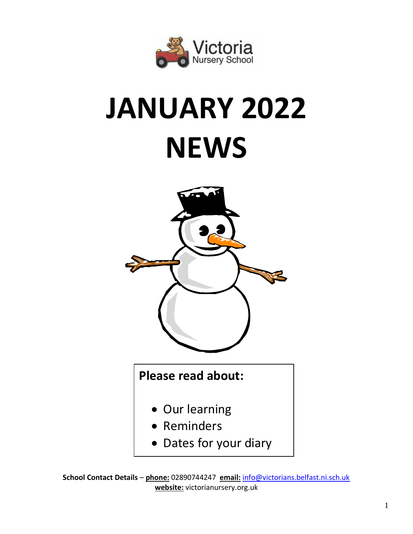

# **JANUARY 2022 NEWS**



**School Contact Details** – **phone:** 02890744247 **email:** [info@victorians.belfast.ni.sch.uk](mailto:info@victorians.belfast.ni.sch.uk) **website:** victorianursery.org.uk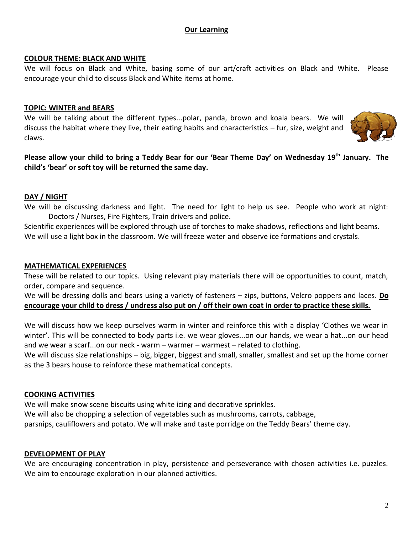## **Our Learning**

#### **COLOUR THEME: BLACK AND WHITE**

We will focus on Black and White, basing some of our art/craft activities on Black and White. Please encourage your child to discuss Black and White items at home.

#### **TOPIC: WINTER and BEARS**

We will be talking about the different types...polar, panda, brown and koala bears. We will discuss the habitat where they live, their eating habits and characteristics – fur, size, weight and claws.



**Please allow your child to bring a Teddy Bear for our 'Bear Theme Day' on Wednesday 19th January. The child's 'bear' or soft toy will be returned the same day.**

## **DAY / NIGHT**

We will be discussing darkness and light. The need for light to help us see. People who work at night: Doctors / Nurses, Fire Fighters, Train drivers and police.

Scientific experiences will be explored through use of torches to make shadows, reflections and light beams. We will use a light box in the classroom. We will freeze water and observe ice formations and crystals.

#### **MATHEMATICAL EXPERIENCES**

These will be related to our topics. Using relevant play materials there will be opportunities to count, match, order, compare and sequence.

We will be dressing dolls and bears using a variety of fasteners – zips, buttons, Velcro poppers and laces. **Do encourage your child to dress / undress also put on / off their own coat in order to practice these skills.**

We will discuss how we keep ourselves warm in winter and reinforce this with a display 'Clothes we wear in winter'. This will be connected to body parts i.e. we wear gloves...on our hands, we wear a hat...on our head and we wear a scarf...on our neck - warm – warmer – warmest – related to clothing.

We will discuss size relationships – big, bigger, biggest and small, smaller, smallest and set up the home corner as the 3 bears house to reinforce these mathematical concepts.

## **COOKING ACTIVITIES**

We will make snow scene biscuits using white icing and decorative sprinkles. We will also be chopping a selection of vegetables such as mushrooms, carrots, cabbage, parsnips, cauliflowers and potato. We will make and taste porridge on the Teddy Bears' theme day.

## **DEVELOPMENT OF PLAY**

We are encouraging concentration in play, persistence and perseverance with chosen activities i.e. puzzles. We aim to encourage exploration in our planned activities.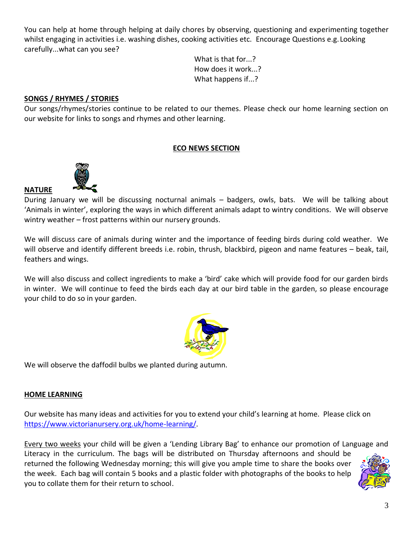You can help at home through helping at daily chores by observing, questioning and experimenting together whilst engaging in activities i.e. washing dishes, cooking activities etc. Encourage Questions e.g. Looking carefully...what can you see?

> What is that for...? How does it work...? What happens if...?

# **SONGS / RHYMES / STORIES**

Our songs/rhymes/stories continue to be related to our themes. Please check our home learning section on our website for links to songs and rhymes and other learning.

## **ECO NEWS SECTION**



**NATURE**

During January we will be discussing nocturnal animals – badgers, owls, bats. We will be talking about 'Animals in winter', exploring the ways in which different animals adapt to wintry conditions. We will observe wintry weather – frost patterns within our nursery grounds.

We will discuss care of animals during winter and the importance of feeding birds during cold weather. We will observe and identify different breeds i.e. robin, thrush, blackbird, pigeon and name features – beak, tail, feathers and wings.

We will also discuss and collect ingredients to make a 'bird' cake which will provide food for our garden birds in winter. We will continue to feed the birds each day at our bird table in the garden, so please encourage your child to do so in your garden.



We will observe the daffodil bulbs we planted during autumn.

## **HOME LEARNING**

Our website has many ideas and activities for you to extend your child's learning at home. Please click on [https://www.victorianursery.org.uk/home-learning/.](https://www.victorianursery.org.uk/home-learning/)

Every two weeks your child will be given a 'Lending Library Bag' to enhance our promotion of Language and Literacy in the curriculum. The bags will be distributed on Thursday afternoons and should be returned the following Wednesday morning; this will give you ample time to share the books over the week. Each bag will contain 5 books and a plastic folder with photographs of the books to help you to collate them for their return to school.

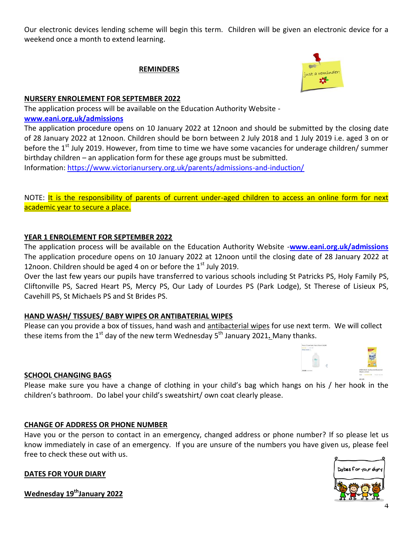Our electronic devices lending scheme will begin this term. Children will be given an electronic device for a weekend once a month to extend learning.

## **REMINDERS**



## **NURSERY ENROLEMENT FOR SEPTEMBER 2022**

The application process will be available on the Education Authority Website **[www.eani.org.uk/admissions](http://www.eani.org.uk/admissions)**

The application procedure opens on 10 January 2022 at 12noon and should be submitted by the closing date of 28 January 2022 at 12noon. Children should be born between 2 July 2018 and 1 July 2019 i.e. aged 3 on or before the 1<sup>st</sup> July 2019. However, from time to time we have some vacancies for underage children/ summer birthday children – an application form for these age groups must be submitted.

Information:<https://www.victorianursery.org.uk/parents/admissions-and-induction/>

NOTE: It is the responsibility of parents of current under-aged children to access an online form for next academic year to secure a place.

## **YEAR 1 ENROLEMENT FOR SEPTEMBER 2022**

The application process will be available on the Education Authority Website -**[www.eani.org.uk/admissions](http://www.eani.org.uk/admissions)**  The application procedure opens on 10 January 2022 at 12noon until the closing date of 28 January 2022 at 12noon. Children should be aged 4 on or before the  $1<sup>st</sup>$  July 2019.

Over the last few years our pupils have transferred to various schools including St Patricks PS, Holy Family PS, Cliftonville PS, Sacred Heart PS, Mercy PS, Our Lady of Lourdes PS (Park Lodge), St Therese of Lisieux PS, Cavehill PS, St Michaels PS and St Brides PS.

## **HAND WASH/ TISSUES/ BABY WIPES OR ANTIBATERIAL WIPES**

Please can you provide a box of tissues, hand wash and antibacterial wipes for use next term. We will collect these items from the 1<sup>st</sup> day of the new term Wednesday 5<sup>th</sup> January 2021<u>.</u> Many thanks.

## **SCHOOL CHANGING BAGS**

Please make sure you have a change of clothing in your child's bag which hangs on his / her hook in the children's bathroom. Do label your child's sweatshirt/ own coat clearly please.

## **CHANGE OF ADDRESS OR PHONE NUMBER**

Have you or the person to contact in an emergency, changed address or phone number? If so please let us know immediately in case of an emergency. If you are unsure of the numbers you have given us, please feel free to check these out with us.

## **DATES FOR YOUR DIARY**

**Wednesday 19thJanuary 2022**



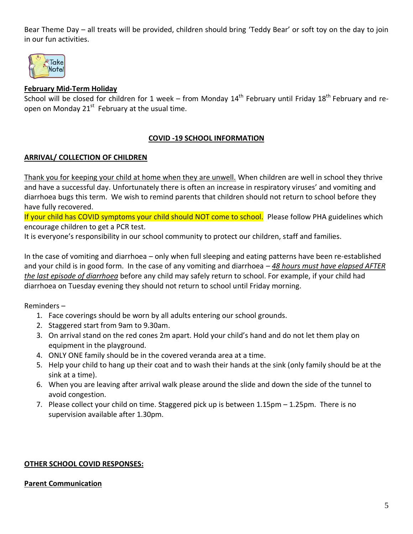Bear Theme Day – all treats will be provided, children should bring 'Teddy Bear' or soft toy on the day to join in our fun activities.



## **February Mid-Term Holiday**

School will be closed for children for 1 week – from Monday 14<sup>th</sup> February until Friday 18<sup>th</sup> February and reopen on Monday 21<sup>st</sup> February at the usual time.

## **COVID -19 SCHOOL INFORMATION**

## **ARRIVAL/ COLLECTION OF CHILDREN**

Thank you for keeping your child at home when they are unwell. When children are well in school they thrive and have a successful day. Unfortunately there is often an increase in respiratory viruses' and vomiting and diarrhoea bugs this term. We wish to remind parents that children should not return to school before they have fully recovered.

If your child has COVID symptoms your child should NOT come to school. Please follow PHA guidelines which encourage children to get a PCR test.

It is everyone's responsibility in our school community to protect our children, staff and families.

In the case of vomiting and diarrhoea – only when full sleeping and eating patterns have been re-established and your child is in good form. In the case of any vomiting and diarrhoea *– 48 hours must have elapsed AFTER the last episode of diarrhoea* before any child may safely return to school. For example, if your child had diarrhoea on Tuesday evening they should not return to school until Friday morning.

Reminders –

- 1. Face coverings should be worn by all adults entering our school grounds.
- 2. Staggered start from 9am to 9.30am.
- 3. On arrival stand on the red cones 2m apart. Hold your child's hand and do not let them play on equipment in the playground.
- 4. ONLY ONE family should be in the covered veranda area at a time.
- 5. Help your child to hang up their coat and to wash their hands at the sink (only family should be at the sink at a time).
- 6. When you are leaving after arrival walk please around the slide and down the side of the tunnel to avoid congestion.
- 7. Please collect your child on time. Staggered pick up is between 1.15pm 1.25pm. There is no supervision available after 1.30pm.

## **OTHER SCHOOL COVID RESPONSES:**

#### **Parent Communication**